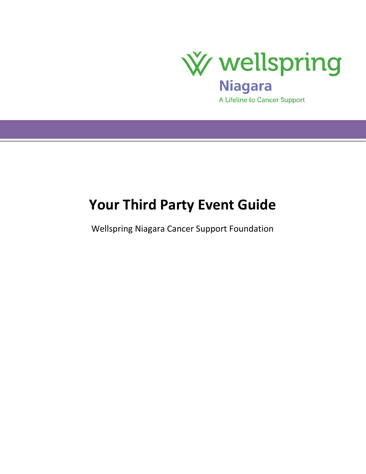

# **Your Third Party Event Guide**

Wellspring Niagara Cancer Support Foundation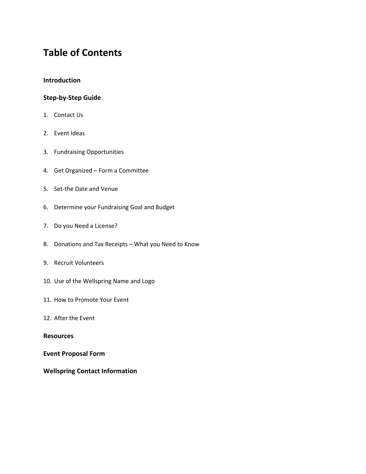# **Table of Contents**

# **Introduction**

#### **Step-by-Step Guide**

- 1. Contact Us
- 2. Event Ideas
- 3. Fundraising Opportunities
- 4. Get Organized Form a Committee
- 5. Set-the Date and Venue
- 6. Determine your Fundraising Goal and Budget
- 7. Do you Need a License?
- 8. Donations and Tax Receipts What you Need to Know
- 9. Recruit Volunteers
- 10. Use of the Wellspring Name and Logo
- 11. How to Promote Your Event
- 12. After the Event

#### **Resources**

#### **Event Proposal Form**

# **Wellspring Contact Information**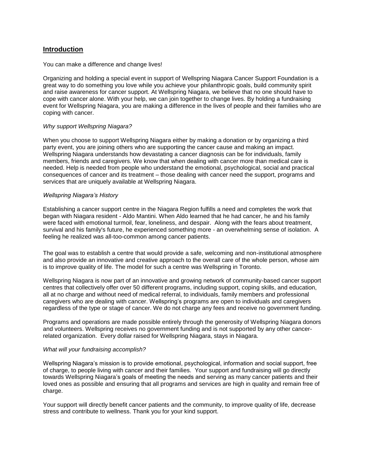#### **Introduction**

#### You can make a difference and change lives!

Organizing and holding a special event in support of Wellspring Niagara Cancer Support Foundation is a great way to do something you love while you achieve your philanthropic goals, build community spirit and raise awareness for cancer support. At Wellspring Niagara, we believe that no one should have to cope with cancer alone. With your help, we can join together to change lives. By holding a fundraising event for Wellspring Niagara, you are making a difference in the lives of people and their families who are coping with cancer.

#### *Why support Wellspring Niagara?*

When you choose to support Wellspring Niagara either by making a donation or by organizing a third party event, you are joining others who are supporting the cancer cause and making an impact. Wellspring Niagara understands how devastating a cancer diagnosis can be for individuals, family members, friends and caregivers. We know that when dealing with cancer more than medical care is needed. Help is needed from people who understand the emotional, psychological, social and practical consequences of cancer and its treatment – those dealing with cancer need the support, programs and services that are uniquely available at Wellspring Niagara.

#### *Wellspring Niagara's History*

Establishing a cancer support centre in the Niagara Region fulfills a need and completes the work that began with Niagara resident - Aldo Mantini. When Aldo learned that he had cancer, he and his family were faced with emotional turmoil, fear, loneliness, and despair. Along with the fears about treatment, survival and his family's future, he experienced something more - an overwhelming sense of isolation. A feeling he realized was all-too-common among cancer patients.

The goal was to establish a centre that would provide a safe, welcoming and non-institutional atmosphere and also provide an innovative and creative approach to the overall care of the whole person, whose aim is to improve quality of life. The model for such a centre was Wellspring in Toronto.

Wellspring Niagara is now part of an innovative and growing network of community-based cancer support centres that collectively offer over 50 different programs, including support, coping skills, and education, all at no charge and without need of medical referral, to individuals, family members and professional caregivers who are dealing with cancer. Wellspring's programs are open to individuals and caregivers regardless of the type or stage of cancer. We do not charge any fees and receive no government funding.

Programs and operations are made possible entirely through the generosity of Wellspring Niagara donors and volunteers. Wellspring receives no government funding and is not supported by any other cancerrelated organization. Every dollar raised for Wellspring Niagara, stays in Niagara.

#### *What will your fundraising accomplish?*

Wellspring Niagara's mission is to provide emotional, psychological, information and social support, free of charge, to people living with cancer and their families. Your support and fundraising will go directly towards Wellspring Niagara's goals of meeting the needs and serving as many cancer patients and their loved ones as possible and ensuring that all programs and services are high in quality and remain free of charge.

Your support will directly benefit cancer patients and the community, to improve quality of life, decrease stress and contribute to wellness. Thank you for your kind support.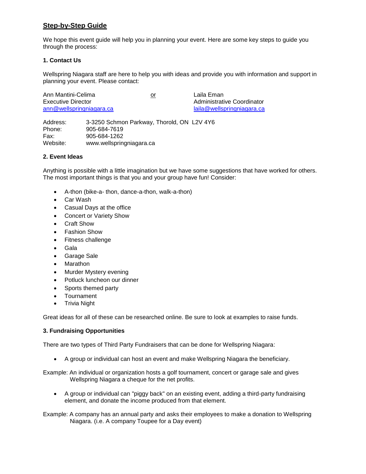# **Step-by-Step Guide**

We hope this event guide will help you in planning your event. Here are some key steps to guide you through the process:

#### **1. Contact Us**

Wellspring Niagara staff are here to help you with ideas and provide you with information and support in planning your event. Please contact:

| Ann Mantini-Celima           | or | Laila Eman                 |
|------------------------------|----|----------------------------|
| Executive Director           |    | Administrative Coordinator |
| $ann@$ wellspring niagara.ca |    | laila@wellspringniagara.ca |
|                              |    |                            |

Address: 3-3250 Schmon Parkway, Thorold, ON L2V 4Y6 Phone: 905-684-7619 Fax: 905-684-1262 Website: www.wellspringniagara.ca

#### **2. Event Ideas**

Anything is possible with a little imagination but we have some suggestions that have worked for others. The most important things is that you and your group have fun! Consider:

- A-thon (bike-a- thon, dance-a-thon, walk-a-thon)
- Car Wash
- Casual Days at the office
- Concert or Variety Show
- Craft Show
- Fashion Show
- Fitness challenge
- Gala
- Garage Sale
- Marathon
- Murder Mystery evening
- Potluck luncheon our dinner
- Sports themed party
- Tournament
- Trivia Night

Great ideas for all of these can be researched online. Be sure to look at examples to raise funds.

#### **3. Fundraising Opportunities**

There are two types of Third Party Fundraisers that can be done for Wellspring Niagara:

A group or individual can host an event and make Wellspring Niagara the beneficiary.

Example: An individual or organization hosts a golf tournament, concert or garage sale and gives Wellspring Niagara a cheque for the net profits.

 A group or individual can "piggy back" on an existing event, adding a third-party fundraising element, and donate the income produced from that element.

Example: A company has an annual party and asks their employees to make a donation to Wellspring Niagara. (i.e. A company Toupee for a Day event)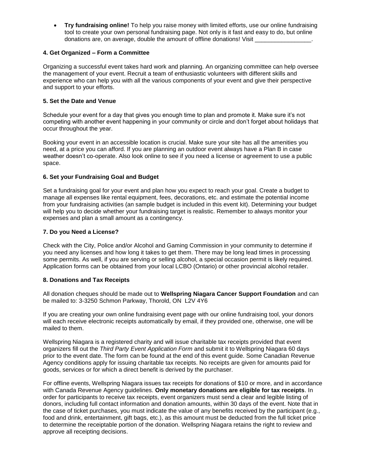**Try fundraising online!** To help you raise money with limited efforts, use our online fundraising tool to create your own personal fundraising page. Not only is it fast and easy to do, but online donations are, on average, double the amount of offline donations! Visit

#### **4. Get Organized – Form a Committee**

Organizing a successful event takes hard work and planning. An organizing committee can help oversee the management of your event. Recruit a team of enthusiastic volunteers with different skills and experience who can help you with all the various components of your event and give their perspective and support to your efforts.

#### **5. Set the Date and Venue**

Schedule your event for a day that gives you enough time to plan and promote it. Make sure it's not competing with another event happening in your community or circle and don't forget about holidays that occur throughout the year.

Booking your event in an accessible location is crucial. Make sure your site has all the amenities you need, at a price you can afford. If you are planning an outdoor event always have a Plan B in case weather doesn't co-operate. Also look online to see if you need a license or agreement to use a public space.

#### **6. Set your Fundraising Goal and Budget**

Set a fundraising goal for your event and plan how you expect to reach your goal. Create a budget to manage all expenses like rental equipment, fees, decorations, etc. and estimate the potential income from your fundraising activities (an sample budget is included in this event kit). Determining your budget will help you to decide whether your fundraising target is realistic. Remember to always monitor your expenses and plan a small amount as a contingency.

#### **7. Do you Need a License?**

Check with the City, Police and/or Alcohol and Gaming Commission in your community to determine if you need any licenses and how long it takes to get them. There may be long lead times in processing some permits. As well, if you are serving or selling alcohol, a special occasion permit is likely required. Application forms can be obtained from your local LCBO (Ontario) or other provincial alcohol retailer.

#### **8. Donations and Tax Receipts**

All donation cheques should be made out to **Wellspring Niagara Cancer Support Foundation** and can be mailed to: 3-3250 Schmon Parkway, Thorold, ON L2V 4Y6

If you are creating your own online fundraising event page with our online fundraising tool, your donors will each receive electronic receipts automatically by email, if they provided one, otherwise, one will be mailed to them.

Wellspring Niagara is a registered charity and will issue charitable tax receipts provided that event organizers fill out the *Third Party Event Application Form* and submit it to Wellspring Niagara 60 days prior to the event date. The form can be found at the end of this event guide. Some Canadian Revenue Agency conditions apply for issuing charitable tax receipts. No receipts are given for amounts paid for goods, services or for which a direct benefit is derived by the purchaser.

For offline events, Wellspring Niagara issues tax receipts for donations of \$10 or more, and in accordance with Canada Revenue Agency guidelines. **Only monetary donations are eligible for tax receipts**. In order for participants to receive tax receipts, event organizers must send a clear and legible listing of donors, including full contact information and donation amounts, within 30 days of the event. Note that in the case of ticket purchases, you must indicate the value of any benefits received by the participant (e.g., food and drink, entertainment, gift bags, etc.), as this amount must be deducted from the full ticket price to determine the receiptable portion of the donation. Wellspring Niagara retains the right to review and approve all receipting decisions.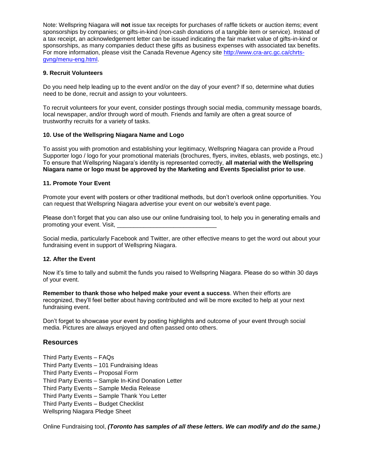Note: Wellspring Niagara will **not** issue tax receipts for purchases of raffle tickets or auction items; event sponsorships by companies; or gifts-in-kind (non-cash donations of a tangible item or service). Instead of a tax receipt, an acknowledgement letter can be issued indicating the fair market value of gifts-in-kind or sponsorships, as many companies deduct these gifts as business expenses with associated tax benefits. For more information, please visit the Canada Revenue Agency site [http://www.cra-arc.gc.ca/chrts](http://www.cra-arc.gc.ca/chrts-gvng/menu-eng.html)[gvng/menu-eng.html.](http://www.cra-arc.gc.ca/chrts-gvng/menu-eng.html)

#### **9. Recruit Volunteers**

Do you need help leading up to the event and/or on the day of your event? If so, determine what duties need to be done, recruit and assign to your volunteers.

To recruit volunteers for your event, consider postings through social media, community message boards, local newspaper, and/or through word of mouth. Friends and family are often a great source of trustworthy recruits for a variety of tasks.

# **10. Use of the Wellspring Niagara Name and Logo**

To assist you with promotion and establishing your legitimacy, Wellspring Niagara can provide a Proud Supporter logo / logo for your promotional materials (brochures, flyers, invites, eblasts, web postings, etc.) To ensure that Wellspring Niagara's identity is represented correctly, **all material with the Wellspring Niagara name or logo must be approved by the Marketing and Events Specialist prior to use**.

#### **11. Promote Your Event**

Promote your event with posters or other traditional methods, but don't overlook online opportunities. You can request that Wellspring Niagara advertise your event on our website's event page.

Please don't forget that you can also use our online fundraising tool, to help you in generating emails and promoting your event. Visit,

Social media, particularly Facebook and Twitter, are other effective means to get the word out about your fundraising event in support of Wellspring Niagara.

#### **12. After the Event**

Now it's time to tally and submit the funds you raised to Wellspring Niagara. Please do so within 30 days of your event.

**Remember to thank those who helped make your event a success**. When their efforts are recognized, they'll feel better about having contributed and will be more excited to help at your next fundraising event.

Don't forget to showcase your event by posting highlights and outcome of your event through social media. Pictures are always enjoyed and often passed onto others.

#### **Resources**

Third Party Events – FAQs Third Party Events – 101 Fundraising Ideas Third Party Events – Proposal Form Third Party Events – Sample In-Kind Donation Letter Third Party Events – Sample Media Release Third Party Events – Sample Thank You Letter Third Party Events – Budget Checklist Wellspring Niagara Pledge Sheet

Online Fundraising tool, *(Toronto has samples of all these letters. We can modify and do the same.)*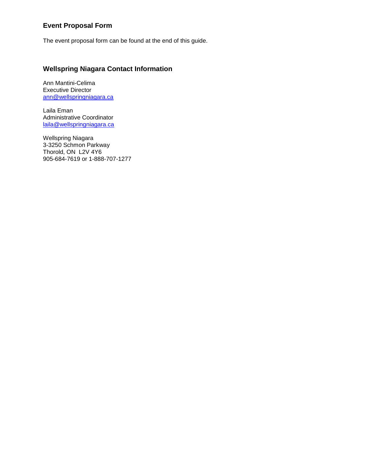# **Event Proposal Form**

The event proposal form can be found at the end of this guide.

# **Wellspring Niagara Contact Information**

Ann Mantini-Celima Executive Director [ann@wellspringniagara.ca](mailto:ann@wellspringniagara.ca)

Laila Eman Administrative Coordinator [laila@wellspringniagara.ca](mailto:laila@wellspringniagara.ca)

Wellspring Niagara 3-3250 Schmon Parkway Thorold, ON L2V 4Y6 905-684-7619 or 1-888-707-1277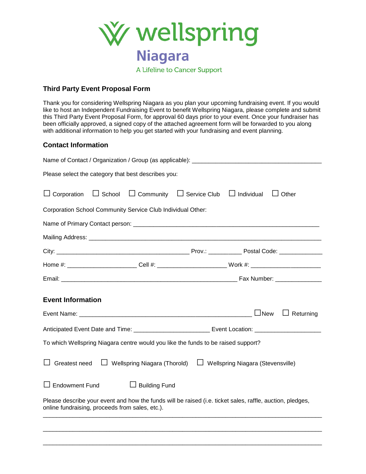

# **Third Party Event Proposal Form**

Thank you for considering Wellspring Niagara as you plan your upcoming fundraising event. If you would like to host an Independent Fundraising Event to benefit Wellspring Niagara, please complete and submit this Third Party Event Proposal Form, for approval 60 days prior to your event. Once your fundraiser has been officially approved, a signed copy of the attached agreement form will be forwarded to you along with additional information to help you get started with your fundraising and event planning.

# **Contact Information**

| Name of Contact / Organization / Group (as applicable): ________________________                                                                                                                                                                                                                                                                                                                                                                                                                                                                                           |  |                                                    |                   |              |
|----------------------------------------------------------------------------------------------------------------------------------------------------------------------------------------------------------------------------------------------------------------------------------------------------------------------------------------------------------------------------------------------------------------------------------------------------------------------------------------------------------------------------------------------------------------------------|--|----------------------------------------------------|-------------------|--------------|
| Please select the category that best describes you:                                                                                                                                                                                                                                                                                                                                                                                                                                                                                                                        |  |                                                    |                   |              |
| $\Box$ Corporation                                                                                                                                                                                                                                                                                                                                                                                                                                                                                                                                                         |  | $\Box$ School $\Box$ Community $\Box$ Service Club | $\Box$ Individual | $\Box$ Other |
| Corporation School Community Service Club Individual Other:                                                                                                                                                                                                                                                                                                                                                                                                                                                                                                                |  |                                                    |                   |              |
|                                                                                                                                                                                                                                                                                                                                                                                                                                                                                                                                                                            |  |                                                    |                   |              |
|                                                                                                                                                                                                                                                                                                                                                                                                                                                                                                                                                                            |  |                                                    |                   |              |
|                                                                                                                                                                                                                                                                                                                                                                                                                                                                                                                                                                            |  |                                                    |                   |              |
| Home #: ________________________Cell #: _________________________Work #: __________________________                                                                                                                                                                                                                                                                                                                                                                                                                                                                        |  |                                                    |                   |              |
|                                                                                                                                                                                                                                                                                                                                                                                                                                                                                                                                                                            |  |                                                    |                   |              |
| <b>Event Information</b><br>$\Box$ New<br>$\Box$ Returning<br>Anticipated Event Date and Time: _______________________________Event Location: ______________________________<br>To which Wellspring Niagara centre would you like the funds to be raised support?<br>Greatest need<br>$\Box$ Wellspring Niagara (Thorold)<br>□ Wellspring Niagara (Stevensville)<br>$\Box$ Endowment Fund<br>Building Fund<br>Please describe your event and how the funds will be raised (i.e. ticket sales, raffle, auction, pledges,<br>online fundraising, proceeds from sales, etc.). |  |                                                    |                   |              |
|                                                                                                                                                                                                                                                                                                                                                                                                                                                                                                                                                                            |  |                                                    |                   |              |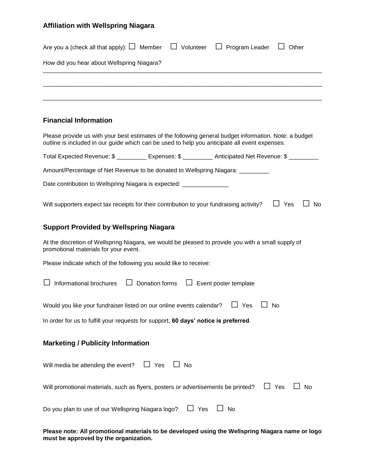# **Affiliation with Wellspring Niagara**

| Are you a (check all that apply): $\square$ Member $\;\;\square\;$ Volunteer                                                                                                                            |                          |            | $\Box$ Program Leader        | Other                   |
|---------------------------------------------------------------------------------------------------------------------------------------------------------------------------------------------------------|--------------------------|------------|------------------------------|-------------------------|
| How did you hear about Wellspring Niagara?                                                                                                                                                              |                          |            |                              |                         |
|                                                                                                                                                                                                         |                          |            |                              |                         |
|                                                                                                                                                                                                         |                          |            |                              |                         |
|                                                                                                                                                                                                         |                          |            |                              |                         |
| <b>Financial Information</b>                                                                                                                                                                            |                          |            |                              |                         |
| Please provide us with your best estimates of the following general budget information. Note: a budget<br>outline is included in our guide which can be used to help you anticipate all event expenses. |                          |            |                              |                         |
| Total Expected Revenue: \$ _________ Expenses: \$ _________ Anticipated Net Revenue: \$ ________                                                                                                        |                          |            |                              |                         |
| Amount/Percentage of Net Revenue to be donated to Wellspring Niagara: __________                                                                                                                        |                          |            |                              |                         |
| Date contribution to Wellspring Niagara is expected: ________________                                                                                                                                   |                          |            |                              |                         |
| Will supporters expect tax receipts for their contribution to your fundraising activity?                                                                                                                |                          |            |                              | $\Box$ Yes<br><b>No</b> |
| <b>Support Provided by Wellspring Niagara</b>                                                                                                                                                           |                          |            |                              |                         |
| At the discretion of Wellspring Niagara, we would be pleased to provide you with a small supply of<br>promotional materials for your event.                                                             |                          |            |                              |                         |
| Please indicate which of the following you would like to receive:                                                                                                                                       |                          |            |                              |                         |
| Informational brochures                                                                                                                                                                                 | Donation forms<br>$\Box$ |            | $\Box$ Event poster template |                         |
| Would you like your fundraiser listed on our online events calendar?                                                                                                                                    |                          |            | Yes                          | No                      |
| In order for us to fulfill your requests for support, 60 days' notice is preferred.                                                                                                                     |                          |            |                              |                         |
| <b>Marketing / Publicity Information</b>                                                                                                                                                                |                          |            |                              |                         |
| Will media be attending the event? $\Box$ Yes                                                                                                                                                           |                          | $\Box$ No  |                              |                         |
| Will promotional materials, such as flyers, posters or advertisements be printed?                                                                                                                       |                          |            |                              | $\Box$ Yes<br>$\Box$ No |
| Do you plan to use of our Wellspring Niagara logo?                                                                                                                                                      |                          | $\Box$ Yes | $\Box$ No                    |                         |
|                                                                                                                                                                                                         |                          |            |                              |                         |

**Please note: All promotional materials to be developed using the Wellspring Niagara name or logo must be approved by the organization.**